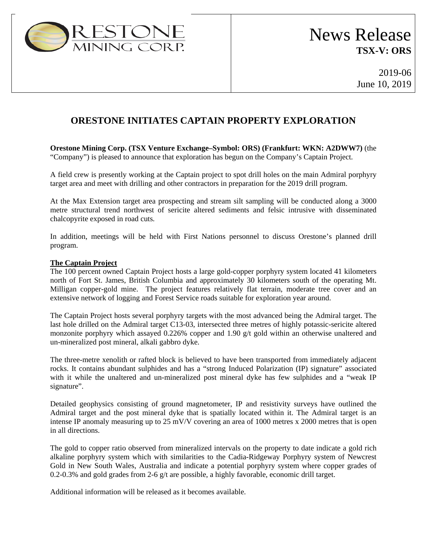

## **ORESTONE INITIATES CAPTAIN PROPERTY EXPLORATION**

**Orestone Mining Corp. (TSX Venture Exchange–Symbol: ORS) (Frankfurt: WKN: A2DWW7)** (the "Company") is pleased to announce that exploration has begun on the Company's Captain Project.

A field crew is presently working at the Captain project to spot drill holes on the main Admiral porphyry target area and meet with drilling and other contractors in preparation for the 2019 drill program.

At the Max Extension target area prospecting and stream silt sampling will be conducted along a 3000 metre structural trend northwest of sericite altered sediments and felsic intrusive with disseminated chalcopyrite exposed in road cuts.

In addition, meetings will be held with First Nations personnel to discuss Orestone's planned drill program.

## **The Captain Project**

The 100 percent owned Captain Project hosts a large gold-copper porphyry system located 41 kilometers north of Fort St. James, British Columbia and approximately 30 kilometers south of the operating Mt. Milligan copper-gold mine. The project features relatively flat terrain, moderate tree cover and an extensive network of logging and Forest Service roads suitable for exploration year around.

The Captain Project hosts several porphyry targets with the most advanced being the Admiral target. The last hole drilled on the Admiral target C13-03, intersected three metres of highly potassic-sericite altered monzonite porphyry which assayed 0.226% copper and 1.90 g/t gold within an otherwise unaltered and un-mineralized post mineral, alkali gabbro dyke.

The three-metre xenolith or rafted block is believed to have been transported from immediately adjacent rocks. It contains abundant sulphides and has a "strong Induced Polarization (IP) signature" associated with it while the unaltered and un-mineralized post mineral dyke has few sulphides and a "weak IP signature".

Detailed geophysics consisting of ground magnetometer, IP and resistivity surveys have outlined the Admiral target and the post mineral dyke that is spatially located within it. The Admiral target is an intense IP anomaly measuring up to 25 mV/V covering an area of 1000 metres x 2000 metres that is open in all directions.

The gold to copper ratio observed from mineralized intervals on the property to date indicate a gold rich alkaline porphyry system which with similarities to the Cadia-Ridgeway Porphyry system of Newcrest Gold in New South Wales, Australia and indicate a potential porphyry system where copper grades of 0.2-0.3% and gold grades from 2-6 g/t are possible, a highly favorable, economic drill target.

Additional information will be released as it becomes available.